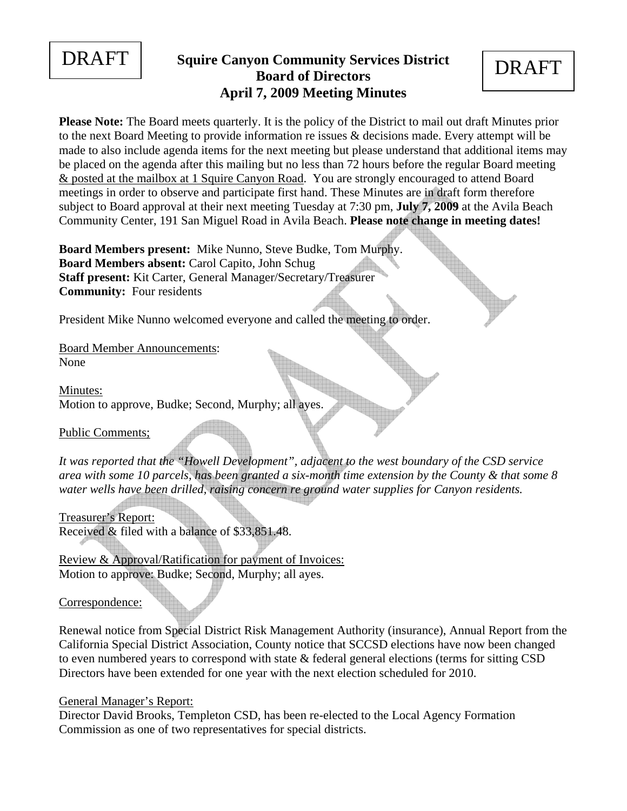

# **DRAFT** Squire Canyon Community Services District **DRAFT Board of Directors April 7, 2009 Meeting Minutes**

**Please Note:** The Board meets quarterly. It is the policy of the District to mail out draft Minutes prior to the next Board Meeting to provide information re issues & decisions made. Every attempt will be made to also include agenda items for the next meeting but please understand that additional items may be placed on the agenda after this mailing but no less than 72 hours before the regular Board meeting & posted at the mailbox at 1 Squire Canyon Road. You are strongly encouraged to attend Board meetings in order to observe and participate first hand. These Minutes are in draft form therefore subject to Board approval at their next meeting Tuesday at 7:30 pm, **July 7, 2009** at the Avila Beach Community Center, 191 San Miguel Road in Avila Beach. **Please note change in meeting dates!** 

**Board Members present:** Mike Nunno, Steve Budke, Tom Murphy. **Board Members absent:** Carol Capito, John Schug **Staff present:** Kit Carter, General Manager/Secretary/Treasurer **Community:** Four residents

President Mike Nunno welcomed everyone and called the meeting to order.

Board Member Announcements: None

Minutes: Motion to approve, Budke; Second, Murphy; all ayes.

Public Comments;

*It was reported that the "Howell Development", adjacent to the west boundary of the CSD service area with some 10 parcels, has been granted a six-month time extension by the County & that some 8 water wells have been drilled, raising concern re ground water supplies for Canyon residents.* 

Treasurer's Report: Received & filed with a balance of \$33,851.48.

Review & Approval/Ratification for payment of Invoices: Motion to approve: Budke; Second, Murphy; all ayes.

Correspondence:

Renewal notice from Special District Risk Management Authority (insurance), Annual Report from the California Special District Association, County notice that SCCSD elections have now been changed to even numbered years to correspond with state & federal general elections (terms for sitting CSD Directors have been extended for one year with the next election scheduled for 2010.

# General Manager's Report:

Director David Brooks, Templeton CSD, has been re-elected to the Local Agency Formation Commission as one of two representatives for special districts.